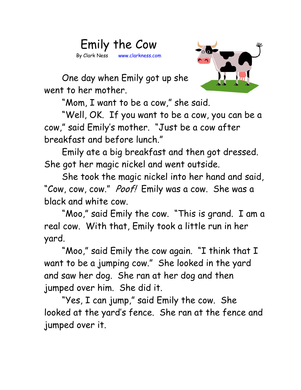



One day when Emily got up she went to her mother.

"Mom, I want to be a cow," she said.

"Well, OK. If you want to be a cow, you can be a cow," said Emily's mother. "Just be a cow after breakfast and before lunch."

Emily ate a big breakfast and then got dressed. She got her magic nickel and went outside.

She took the magic nickel into her hand and said, "Cow, cow, cow." Poof! Emily was a cow. She was a black and white cow.

"Moo," said Emily the cow. "This is grand. I am a real cow. With that, Emily took a little run in her yard.

"Moo," said Emily the cow again. "I think that I want to be a jumping cow." She looked in the yard and saw her dog. She ran at her dog and then jumped over him. She did it.

"Yes, I can jump," said Emily the cow. She looked at the yard's fence. She ran at the fence and jumped over it.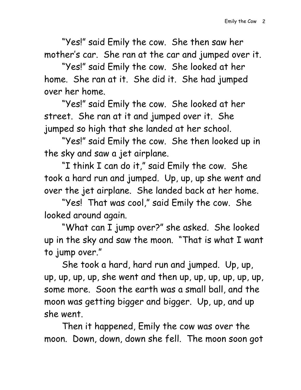"Yes!" said Emily the cow. She then saw her mother's car. She ran at the car and jumped over it.

"Yes!" said Emily the cow. She looked at her home. She ran at it. She did it. She had jumped over her home.

"Yes!" said Emily the cow. She looked at her street. She ran at it and jumped over it. She jumped so high that she landed at her school.

"Yes!" said Emily the cow. She then looked up in the sky and saw a jet airplane.

"I think I can do it," said Emily the cow. She took a hard run and jumped. Up, up, up she went and over the jet airplane. She landed back at her home.

"Yes! That was cool," said Emily the cow. She looked around again.

"What can I jump over?" she asked. She looked up in the sky and saw the moon. "That is what I want to jump over."

She took a hard, hard run and jumped. Up, up, up, up, up, up, she went and then up, up, up, up, up, up, some more. Soon the earth was a small ball, and the moon was getting bigger and bigger. Up, up, and up she went.

Then it happened, Emily the cow was over the moon. Down, down, down she fell. The moon soon got